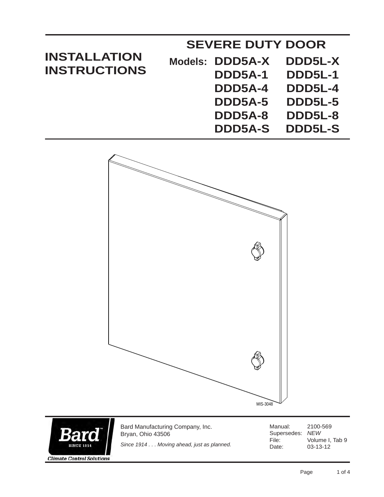| <b>INSTALLATION</b><br><b>INSTRUCTIONS</b> | <b>SEVERE DUTY DOOR</b> |                 |                |  |
|--------------------------------------------|-------------------------|-----------------|----------------|--|
|                                            |                         | Models: DDD5A-X | DDD5L-X        |  |
|                                            |                         | DDD5A-1         | <b>DDD5L-1</b> |  |
|                                            |                         | DDD5A-4         | <b>DDD5L-4</b> |  |
|                                            |                         | DDD5A-5         | <b>DDD5L-5</b> |  |
|                                            |                         | DDD5A-8         | DDD5L-8        |  |
|                                            |                         | <b>DDD5A-S</b>  | <b>DDD5L-S</b> |  |





Bard Manufacturing Company, Inc. Bryan, Ohio 43506

*Since 1914 . . . Moving ahead, just as planned.*

Manual: 2100-569 Supersedes: *NEW* File: Volume I, Tab 9<br>Date: 03-13-12 03-13-12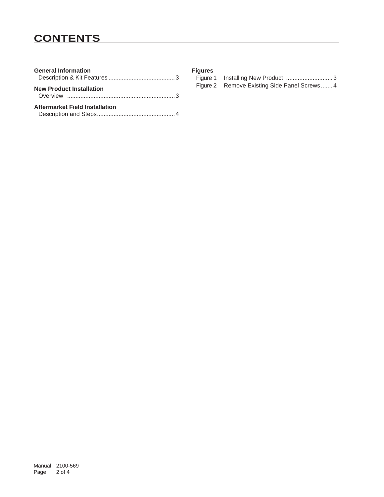# **CONTENTS**

| <b>General Information</b>      |
|---------------------------------|
| <b>New Product Installation</b> |
| Aftermarket Field Installation  |

| <b>Figures</b> |  |
|----------------|--|
| Figure 1       |  |

| Figure 1 | Installing New Product 3                     |  |
|----------|----------------------------------------------|--|
|          | Figure 2 Remove Existing Side Panel Screws 4 |  |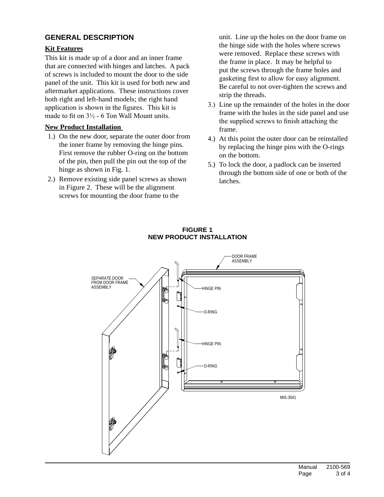# **general description**

## **Kit Features**

This kit is made up of a door and an inner frame that are connected with hinges and latches. A pack of screws is included to mount the door to the side panel of the unit. This kit is used for both new and aftermarket applications. These instructions cover both right and left-hand models; the right hand application is shown in the figures. This kit is made to fit on  $3\frac{1}{2}$  - 6 Ton Wall Mount units.

### **New Product Installation**

- 1.) On the new door, separate the outer door from the inner frame by removing the hinge pins. First remove the rubber O-ring on the bottom of the pin, then pull the pin out the top of the hinge as shown in Fig. 1.
- 2.) Remove existing side panel screws as shown in Figure 2. These will be the alignment screws for mounting the door frame to the

unit. Line up the holes on the door frame on the hinge side with the holes where screws were removed. Replace these screws with the frame in place. It may be helpful to put the screws through the frame holes and gasketing first to allow for easy alignment. Be careful to not over-tighten the screws and strip the threads.

- 3.) Line up the remainder of the holes in the door frame with the holes in the side panel and use the supplied screws to finish attaching the frame.
- 4.) At this point the outer door can be reinstalled by replacing the hinge pins with the O-rings on the bottom.
- 5.) To lock the door, a padlock can be inserted through the bottom side of one or both of the latches.



#### **figure 1 new product installation**